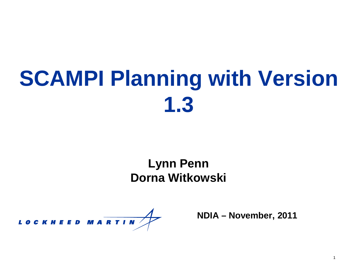# **SCAMPI Planning with Version 1.3**

#### **Lynn Penn Dorna Witkowski**

LOCKHEED MARTIN

**NDIA – November, 2011**

1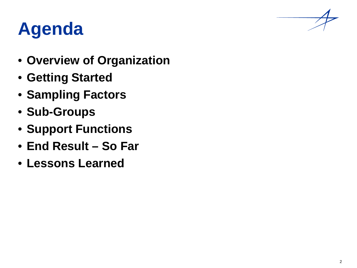# **Agenda**

- **Overview of Organization**
- **Getting Started**
- **Sampling Factors**
- **Sub-Groups**
- **Support Functions**
- **End Result – So Far**
- **Lessons Learned**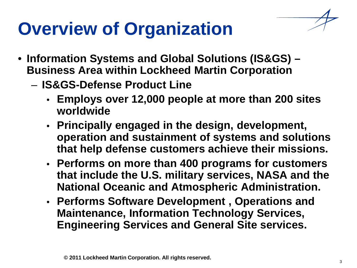## **Overview of Organization**

- **Information Systems and Global Solutions (IS&GS) – Business Area within Lockheed Martin Corporation**
	- **IS&GS-Defense Product Line**
		- **Employs over 12,000 people at more than 200 sites worldwide**
		- **Principally engaged in the design, development, operation and sustainment of systems and solutions that help defense customers achieve their missions.**
		- **Performs on more than 400 programs for customers that include the U.S. military services, NASA and the National Oceanic and Atmospheric Administration.**
		- **Performs Software Development , Operations and Maintenance, Information Technology Services, Engineering Services and General Site services.**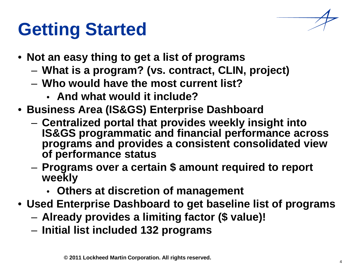### **Getting Started**

- **Not an easy thing to get a list of programs**
	- **What is a program? (vs. contract, CLIN, project)**
	- **Who would have the most current list?**
		- **And what would it include?**
- **Business Area (IS&GS) Enterprise Dashboard**
	- **Centralized portal that provides weekly insight into IS&GS programmatic and financial performance across programs and provides a consistent consolidated view of performance status**
	- **Programs over a certain \$ amount required to report weekly**
		- **Others at discretion of management**
- **Used Enterprise Dashboard to get baseline list of programs**
	- **Already provides a limiting factor (\$ value)!**
	- **Initial list included 132 programs**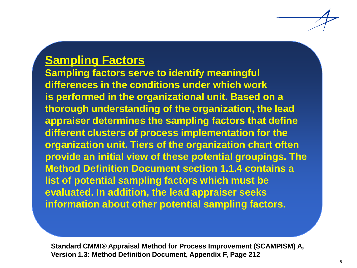#### **Sampling Factors**

**Sampling factors serve to identify meaningful differences in the conditions under which work is performed in the organizational unit. Based on a thorough understanding of the organization, the lead appraiser determines the sampling factors that define different clusters of process implementation for the organization unit. Tiers of the organization chart often provide an initial view of these potential groupings. The Method Definition Document section 1.1.4 contains a list of potential sampling factors which must be evaluated. In addition, the lead appraiser seeks information about other potential sampling factors.**

**Standard CMMI® Appraisal Method for Process Improvement (SCAMPISM) A, Version 1.3: Method Definition Document, Appendix F, Page 212**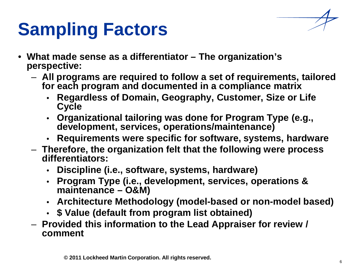### **Sampling Factors**

- **What made sense as a differentiator – The organization's perspective:**
	- **All programs are required to follow a set of requirements, tailored for each program and documented in a compliance matrix**
		- **Regardless of Domain, Geography, Customer, Size or Life Cycle**
		- **Organizational tailoring was done for Program Type (e.g., development, services, operations/maintenance)**
		- **Requirements were specific for software, systems, hardware**
	- **Therefore, the organization felt that the following were process differentiators:**
		- **Discipline (i.e., software, systems, hardware)**
		- **Program Type (i.e., development, services, operations & maintenance – O&M)**
		- **Architecture Methodology (model-based or non-model based)**
		- **\$ Value (default from program list obtained)**
	- **Provided this information to the Lead Appraiser for review / comment**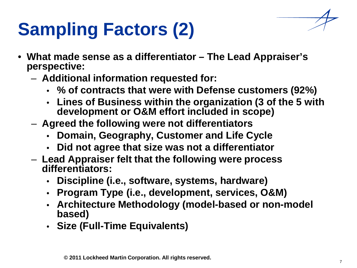# **Sampling Factors (2)**

- **What made sense as a differentiator – The Lead Appraiser's perspective:**
	- **Additional information requested for:**
		- **% of contracts that were with Defense customers (92%)**
		- **Lines of Business within the organization (3 of the 5 with development or O&M effort included in scope)**
	- **Agreed the following were not differentiators**
		- **Domain, Geography, Customer and Life Cycle**
		- **Did not agree that size was not a differentiator**
	- **Lead Appraiser felt that the following were process differentiators:**
		- **Discipline (i.e., software, systems, hardware)**
		- **Program Type (i.e., development, services, O&M)**
		- **Architecture Methodology (model-based or non-model based)**
		- **Size (Full-Time Equivalents)**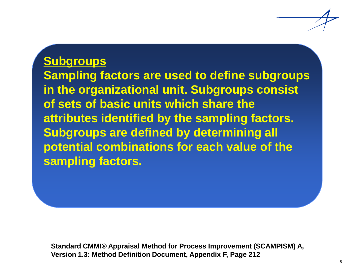#### **Subgroups**

**Sampling factors are used to define subgroups in the organizational unit. Subgroups consist of sets of basic units which share the attributes identified by the sampling factors. Subgroups are defined by determining all potential combinations for each value of the sampling factors.**

**Standard CMMI® Appraisal Method for Process Improvement (SCAMPISM) A, Version 1.3: Method Definition Document, Appendix F, Page 212**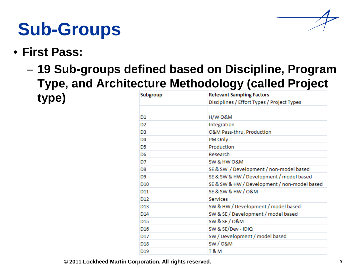

### **Sub-Groups**

#### • **First Pass:**

– **19 Sub-groups defined based on Discipline, Program Type, and Architecture Methodology (called Project type)**

| <b>Subgroup</b> | <b>Relevant Sampling Factors</b>             |  |  |  |
|-----------------|----------------------------------------------|--|--|--|
|                 | Disciplines / Effort Types / Project Types   |  |  |  |
|                 |                                              |  |  |  |
| D1              | $H/W$ O&M                                    |  |  |  |
| D <sub>2</sub>  | Integration                                  |  |  |  |
| D <sub>3</sub>  | O&M Pass-thru, Production                    |  |  |  |
| D <sub>4</sub>  | PM Only                                      |  |  |  |
| D <sub>5</sub>  | Production                                   |  |  |  |
| D <sub>6</sub>  | Research                                     |  |  |  |
| D7              | SW & HW O&M                                  |  |  |  |
| D8              | SE & SW / Development / non-model based      |  |  |  |
| D9              | SE & SW & HW / Development / model based     |  |  |  |
| D <sub>10</sub> | SE & SW & HW / Development / non-model based |  |  |  |
| D11             | SE & SW & HW / O&M                           |  |  |  |
| D <sub>12</sub> | Services                                     |  |  |  |
| D <sub>13</sub> | SW & HW / Development / model based          |  |  |  |
| D14             | SW & SE / Development / model based          |  |  |  |
| D <sub>15</sub> | SW & SE / O&M                                |  |  |  |
| D <sub>16</sub> | SW & SE/Dev - IDIQ                           |  |  |  |
| D17             | SW / Development / model based               |  |  |  |
| D <sub>18</sub> | SW/O&M                                       |  |  |  |
| D <sub>19</sub> | T & M                                        |  |  |  |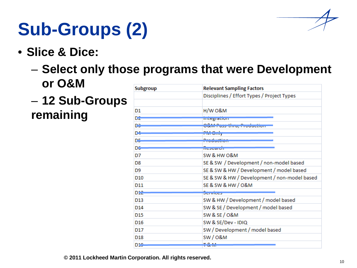

# **Sub-Groups (2)**

• **Slice & Dice:**

#### – **Select only those programs that were Development or O&M**

– **12 Sub-Groups remaining**

| <b>Subgroup</b> | <b>Relevant Sampling Factors</b>             |  |  |  |
|-----------------|----------------------------------------------|--|--|--|
|                 | Disciplines / Effort Types / Project Types   |  |  |  |
|                 |                                              |  |  |  |
| D1              | H/W O&M                                      |  |  |  |
| D2.             | megranom                                     |  |  |  |
| D9.             | <u>lM Pass-time, Production</u>              |  |  |  |
| D4              | но мату                                      |  |  |  |
| D5.             | <b>Concert Common</b>                        |  |  |  |
| DG-             | mesearum                                     |  |  |  |
| D7              | SW & HW O&M                                  |  |  |  |
| D <sub>8</sub>  | SE & SW / Development / non-model based      |  |  |  |
| D <sub>9</sub>  | SE & SW & HW / Development / model based     |  |  |  |
| D <sub>10</sub> | SE & SW & HW / Development / non-model based |  |  |  |
| D11             | SE & SW & HW / O&M                           |  |  |  |
| D12             | <b>JETVICES</b>                              |  |  |  |
| D <sub>13</sub> | SW & HW / Development / model based          |  |  |  |
| D <sub>14</sub> | SW & SE / Development / model based          |  |  |  |
| D <sub>15</sub> | SW & SE / O&M                                |  |  |  |
| D <sub>16</sub> | SW & SE/Dev - IDIQ                           |  |  |  |
| D17             | SW / Development / model based               |  |  |  |
| D <sub>18</sub> | <b>SW/0&amp;M</b>                            |  |  |  |
| D10             | <b>CALL 1973</b>                             |  |  |  |

**© 2011 Lockheed Martin Corporation. All rights reserved.**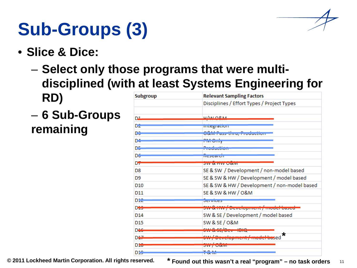

# **Sub-Groups (3)**

- **Slice & Dice:**
	- **Select only those programs that were multidisciplined (with at least Systems Engineering for RD)**
	- **6 Sub-Groups remaining**

| <b>Subgroup</b> | <b>Relevant Sampling Factors</b>                                                                                                                                                                                                           |  |  |  |
|-----------------|--------------------------------------------------------------------------------------------------------------------------------------------------------------------------------------------------------------------------------------------|--|--|--|
|                 | Disciplines / Effort Types / Project Types                                                                                                                                                                                                 |  |  |  |
|                 |                                                                                                                                                                                                                                            |  |  |  |
| D1              | U/NLORIA                                                                                                                                                                                                                                   |  |  |  |
| D2              | micgration                                                                                                                                                                                                                                 |  |  |  |
| D3              | <u> Odivi Pass-thru, Production</u>                                                                                                                                                                                                        |  |  |  |
| D4              | гаа маар                                                                                                                                                                                                                                   |  |  |  |
| D5.             | متفصيل دعات<br><b><i><u>Professional Participants</u></i></b>                                                                                                                                                                              |  |  |  |
| DG              | nesearon                                                                                                                                                                                                                                   |  |  |  |
| D7              | <b>JW OLTIVY UCUVI</b>                                                                                                                                                                                                                     |  |  |  |
| D8              | SE & SW / Development / non-model based                                                                                                                                                                                                    |  |  |  |
| D9              | SE & SW & HW / Development / model based                                                                                                                                                                                                   |  |  |  |
| D <sub>10</sub> | SE & SW & HW / Development / non-model based                                                                                                                                                                                               |  |  |  |
| D <sub>11</sub> | SE & SW & HW / O&M                                                                                                                                                                                                                         |  |  |  |
| D12             | <b>JETVICES</b>                                                                                                                                                                                                                            |  |  |  |
| D <del>10</del> | <u>an kanang katanggunan / maal-baasa</u>                                                                                                                                                                                                  |  |  |  |
| D <sub>14</sub> | SW & SE / Development / model based                                                                                                                                                                                                        |  |  |  |
| D <sub>15</sub> | SW & SE / O&M                                                                                                                                                                                                                              |  |  |  |
| D <sub>16</sub> | $\overline{\phantom{a}}$ . The contract of the contract of the contract of the contract of the contract of the contract of the contract of the contract of the contract of the contract of the contract of the contract of the contract of |  |  |  |
| D47             | $\star$<br><u>ja maan kan ta'u pitatan taa ya taas ka</u>                                                                                                                                                                                  |  |  |  |
| D10             | <b>JWY / UCHVI</b>                                                                                                                                                                                                                         |  |  |  |
| D10             | <b>CONTRACTOR</b>                                                                                                                                                                                                                          |  |  |  |

11 **© 2011 Lockheed Martin Corporation. All rights reserved. \* Found out this wasn't a real "program" – no task orders**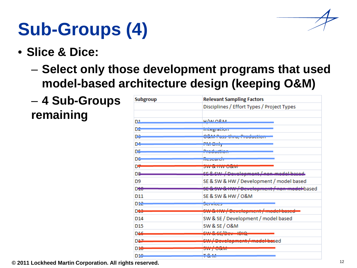

# **Sub-Groups (4)**

- **Slice & Dice:**
	- **Select only those development programs that used model-based architecture design (keeping O&M)**
	- **4 Sub-Groups remaining**

| <b>Subgroup</b> | <b>Relevant Sampling Factors</b>                                                                                                                                                                                                                      |  |  |  |
|-----------------|-------------------------------------------------------------------------------------------------------------------------------------------------------------------------------------------------------------------------------------------------------|--|--|--|
|                 | Disciplines / Effort Types / Project Types                                                                                                                                                                                                            |  |  |  |
|                 |                                                                                                                                                                                                                                                       |  |  |  |
| D1              | $11/M10R.M$                                                                                                                                                                                                                                           |  |  |  |
| D2              | mtegration                                                                                                                                                                                                                                            |  |  |  |
| D3              | $\overline{\phantom{a}}$<br>- 11<br><u>ODMY FRZZELINY FI OBBODYN</u>                                                                                                                                                                                  |  |  |  |
| D4              | PM Only                                                                                                                                                                                                                                               |  |  |  |
| D5.             | <u>Production</u>                                                                                                                                                                                                                                     |  |  |  |
| DG              | nesearun                                                                                                                                                                                                                                              |  |  |  |
| D7              |                                                                                                                                                                                                                                                       |  |  |  |
|                 | <b>OW OUTLAW WOUNT</b>                                                                                                                                                                                                                                |  |  |  |
| D&              | <u> SE &amp; SW / Development / non-model based </u>                                                                                                                                                                                                  |  |  |  |
| D <sub>9</sub>  | SE & SW & HW / Development / model based                                                                                                                                                                                                              |  |  |  |
| D <del>10</del> | 9E & 9W & HW / Development / non-model-based                                                                                                                                                                                                          |  |  |  |
| D <sub>11</sub> | SE & SW & HW / O&M                                                                                                                                                                                                                                    |  |  |  |
| Die             | JERNICS                                                                                                                                                                                                                                               |  |  |  |
| D <sup>43</sup> | <br>an winny pereighiem, modernased                                                                                                                                                                                                                   |  |  |  |
| D <sub>14</sub> | SW & SE / Development / model based                                                                                                                                                                                                                   |  |  |  |
| D <sub>15</sub> | SW & SE / O&M                                                                                                                                                                                                                                         |  |  |  |
|                 |                                                                                                                                                                                                                                                       |  |  |  |
| D46             | $\frac{1}{2}$<br><u> 1980 - Angel Maria III, mars ang katalog ang pagpalang ang pagpagang ang pagpagang ang pagpagang ang pagpagang ang pagpagang ang pagpagang ang pagpagang ang pagpagang ang pagpagang ang pagpagang ang pagpagpagang ang pagp</u> |  |  |  |
| D47             | SW/Development/model-based                                                                                                                                                                                                                            |  |  |  |
| D10             | . <i>. .</i><br><b>JWY / UCKIVI</b>                                                                                                                                                                                                                   |  |  |  |
| D10             | <b>TO 88</b><br><b>CONTRACTOR</b>                                                                                                                                                                                                                     |  |  |  |

**© 2011 Lockheed Martin Corporation. All rights reserved.**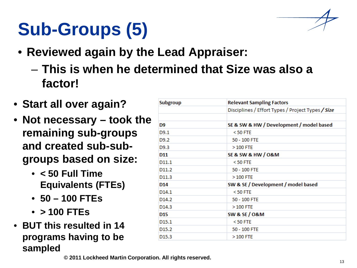# **Sub-Groups (5)**

- **Reviewed again by the Lead Appraiser:**
	- **This is when he determined that Size was also a factor!**
- **Start all over again?**
- **Not necessary – took the remaining sub-groups and created sub-subgroups based on size:**
	- **< 50 Full Time Equivalents (FTEs)**
	- **50 – 100 FTEs**
	- **> 100 FTEs**
- **BUT this resulted in 14 programs having to be sampled**

| <b>Relevant Sampling Factors</b>                  |  |  |  |  |
|---------------------------------------------------|--|--|--|--|
| Disciplines / Effort Types / Project Types / Size |  |  |  |  |
|                                                   |  |  |  |  |
| SE & SW & HW / Development / model based          |  |  |  |  |
| $<$ 50 FTE                                        |  |  |  |  |
| 50 - 100 FTE                                      |  |  |  |  |
| $>100$ FTE                                        |  |  |  |  |
| <b>SE &amp; SW &amp; HW / O&amp;M</b>             |  |  |  |  |
| $<$ 50 FTE                                        |  |  |  |  |
| 50 - 100 FTE                                      |  |  |  |  |
| $>100$ FTE                                        |  |  |  |  |
| SW & SE / Development / model based               |  |  |  |  |
| $<$ 50 FTE                                        |  |  |  |  |
| 50 - 100 FTE                                      |  |  |  |  |
| $>100$ FTE                                        |  |  |  |  |
| <b>SW &amp; SE / O&amp;M</b>                      |  |  |  |  |
| $<$ 50 FTE                                        |  |  |  |  |
| 50 - 100 FTE                                      |  |  |  |  |
| $>100$ FTE                                        |  |  |  |  |
|                                                   |  |  |  |  |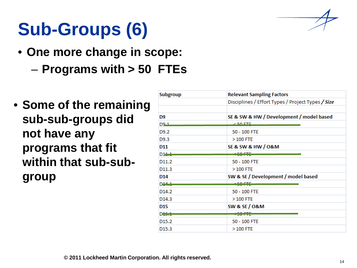

# **Sub-Groups (6)**

- **One more change in scope:**
	- **Programs with > 50 FTEs**
- **Some of the remaining sub-sub-groups did not have any programs that fit within that sub-subgroup**

| <b>Subgroup</b>   | <b>Relevant Sampling Factors</b>                                             |  |  |
|-------------------|------------------------------------------------------------------------------|--|--|
|                   | Disciplines / Effort Types / Project Types / Size                            |  |  |
|                   |                                                                              |  |  |
| D9                | SE & SW & HW / Development / model based                                     |  |  |
| D9 1              | <u>z EA ETE</u>                                                              |  |  |
| D9.2              | 50 - 100 FTE                                                                 |  |  |
| D <sub>9.3</sub>  | $>100$ FTE                                                                   |  |  |
| D11               | SE & SW & HW / O&M                                                           |  |  |
| $D1 + +$          | $\sim$ $\sim$ $\sim$ $\sim$ $\sim$ $\sim$ $\sim$ $\sim$<br><b>CONTRACTOR</b> |  |  |
| D <sub>11.2</sub> | 50 - 100 FTE                                                                 |  |  |
| D <sub>11.3</sub> | $>100$ FTE                                                                   |  |  |
| D14               | SW & SE / Development / model based                                          |  |  |
| $D + 4 + 4$       | <u>, na nth</u><br>-----                                                     |  |  |
| D <sub>14.2</sub> | 50 - 100 FTE                                                                 |  |  |
| D <sub>14.3</sub> | $>100$ FTE                                                                   |  |  |
| D <sub>15</sub>   | <b>SW &amp; SE / O&amp;M</b>                                                 |  |  |
| D <del>15.1</del> | . <del>.</del> .                                                             |  |  |
| D <sub>15.2</sub> | 50 - 100 FTE                                                                 |  |  |
| D <sub>15.3</sub> | $>100$ FTE                                                                   |  |  |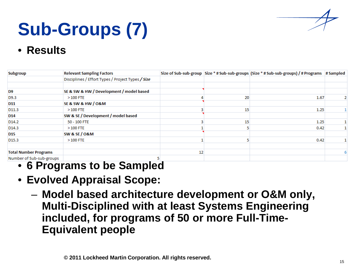

# **Sub-Groups (7)**

• **Results**

| <b>Subgroup</b>                                   | <b>Relevant Sampling Factors</b>                  |    |    | Size of Sub-sub-group Size * # Sub-sub-groups (Size * # Sub-sub-groups) / # Programs # Sampled |   |
|---------------------------------------------------|---------------------------------------------------|----|----|------------------------------------------------------------------------------------------------|---|
|                                                   | Disciplines / Effort Types / Project Types / Size |    |    |                                                                                                |   |
|                                                   |                                                   |    |    |                                                                                                |   |
| D <sub>9</sub>                                    | SE & SW & HW / Development / model based          |    |    |                                                                                                |   |
| D9.3                                              | $>100$ FTE                                        |    | 20 | 1.67                                                                                           | 2 |
| <b>D11</b>                                        | SE & SW & HW / O&M                                |    |    |                                                                                                |   |
| D11.3                                             | $>100$ FTE                                        |    | 15 | 1.25                                                                                           |   |
| D <sub>14</sub>                                   | SW & SE / Development / model based               |    |    |                                                                                                |   |
| D <sub>14.2</sub>                                 | 50 - 100 FTE                                      |    | 15 | 1.25                                                                                           |   |
| D <sub>14.3</sub>                                 | $>100$ FTE                                        |    |    | 0.42                                                                                           |   |
| <b>D15</b>                                        | <b>SW &amp; SE / O&amp;M</b>                      |    |    |                                                                                                |   |
| D <sub>15.3</sub>                                 | $>100$ FTE                                        |    |    | 0.42                                                                                           |   |
|                                                   |                                                   |    |    |                                                                                                |   |
| <b>Total Number Programs</b>                      |                                                   | 12 |    |                                                                                                | 6 |
| Number of Sub-sub-groups<br>$\sim$ $\blacksquare$ |                                                   |    |    |                                                                                                |   |

- **6 Programs to be Sampled**
- **Evolved Appraisal Scope:**
	- **Model based architecture development or O&M only, Multi-Disciplined with at least Systems Engineering included, for programs of 50 or more Full-Time-Equivalent people**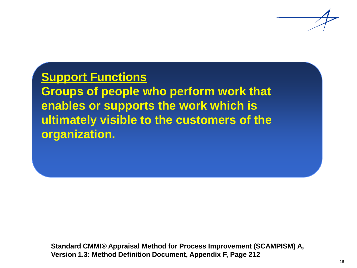

#### **Support Functions**

**Groups of people who perform work that enables or supports the work which is ultimately visible to the customers of the organization.**

**Standard CMMI® Appraisal Method for Process Improvement (SCAMPISM) A, Version 1.3: Method Definition Document, Appendix F, Page 212**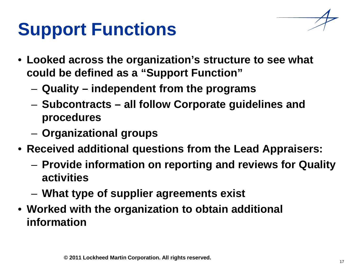# **Support Functions**

- **Looked across the organization's structure to see what could be defined as a "Support Function"**
	- **Quality – independent from the programs**
	- **Subcontracts – all follow Corporate guidelines and procedures**
	- **Organizational groups**
- **Received additional questions from the Lead Appraisers:**
	- **Provide information on reporting and reviews for Quality activities**
	- **What type of supplier agreements exist**
- **Worked with the organization to obtain additional information**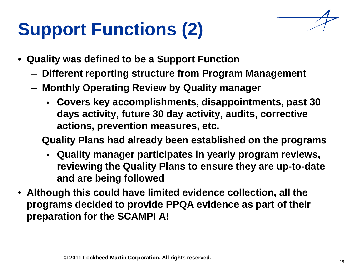# **Support Functions (2)**

- **Quality was defined to be a Support Function**
	- **Different reporting structure from Program Management**
	- **Monthly Operating Review by Quality manager**
		- **Covers key accomplishments, disappointments, past 30 days activity, future 30 day activity, audits, corrective actions, prevention measures, etc.**
	- **Quality Plans had already been established on the programs**
		- **Quality manager participates in yearly program reviews, reviewing the Quality Plans to ensure they are up-to-date and are being followed**
- **Although this could have limited evidence collection, all the programs decided to provide PPQA evidence as part of their preparation for the SCAMPI A!**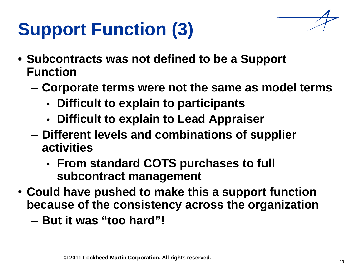# **Support Function (3)**

- **Subcontracts was not defined to be a Support Function**
	- **Corporate terms were not the same as model terms**
		- **Difficult to explain to participants**
		- **Difficult to explain to Lead Appraiser**
	- **Different levels and combinations of supplier activities**
		- **From standard COTS purchases to full subcontract management**
- **Could have pushed to make this a support function because of the consistency across the organization**
	- **But it was "too hard"!**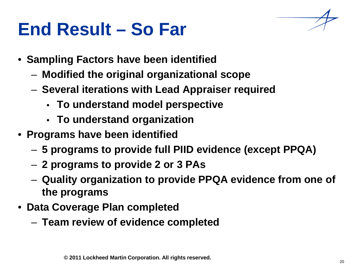#### **End Result – So Far**



- **Modified the original organizational scope**
- **Several iterations with Lead Appraiser required**
	- **To understand model perspective**
	- **To understand organization**
- **Programs have been identified**
	- **5 programs to provide full PIID evidence (except PPQA)**
	- **2 programs to provide 2 or 3 PAs**
	- **Quality organization to provide PPQA evidence from one of the programs**
- **Data Coverage Plan completed**
	- **Team review of evidence completed**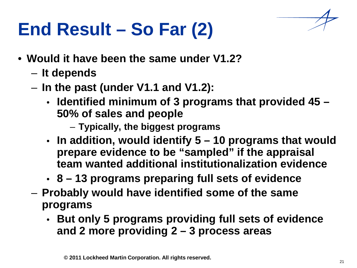## **End Result – So Far (2)**



- **It depends**
- **In the past (under V1.1 and V1.2):**
	- **Identified minimum of 3 programs that provided 45 – 50% of sales and people**
		- **Typically, the biggest programs**
	- **In addition, would identify 5 – 10 programs that would prepare evidence to be "sampled" if the appraisal team wanted additional institutionalization evidence**
	- **8 – 13 programs preparing full sets of evidence**
- **Probably would have identified some of the same programs**
	- **But only 5 programs providing full sets of evidence and 2 more providing 2 – 3 process areas**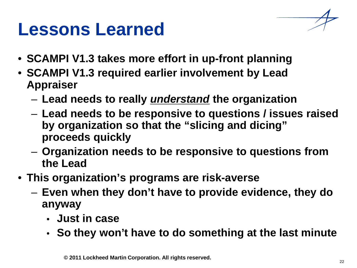#### **Lessons Learned**

- **SCAMPI V1.3 takes more effort in up-front planning**
- **SCAMPI V1.3 required earlier involvement by Lead Appraiser**
	- **Lead needs to really** *understand* **the organization**
	- **Lead needs to be responsive to questions / issues raised by organization so that the "slicing and dicing" proceeds quickly**
	- **Organization needs to be responsive to questions from the Lead**
- **This organization's programs are risk-averse**
	- **Even when they don't have to provide evidence, they do anyway**
		- **Just in case**
		- **So they won't have to do something at the last minute**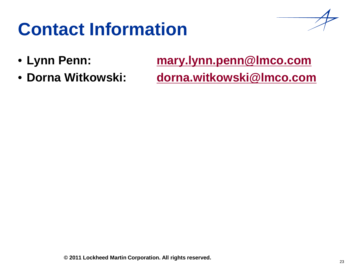### **Contact Information**

- 
- **Dorna Witkowski: [dorna.witkowski@lmco.com](mailto:dorna.witkowski@lmco.com)**

• **Lynn Penn: [mary.lynn.penn@lmco.com](mailto:mary.lynn.penn@lmco.com)**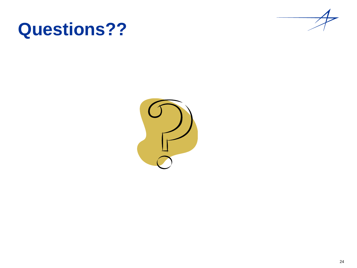#### **Questions??**